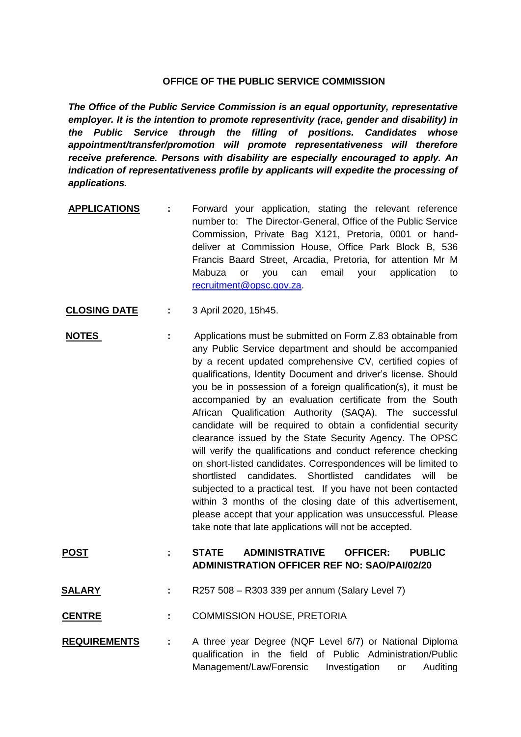## **OFFICE OF THE PUBLIC SERVICE COMMISSION**

*The Office of the Public Service Commission is an equal opportunity, representative employer. It is the intention to promote representivity (race, gender and disability) in the Public Service through the filling of positions. Candidates whose appointment/transfer/promotion will promote representativeness will therefore receive preference. Persons with disability are especially encouraged to apply. An indication of representativeness profile by applicants will expedite the processing of applications.*

- **APPLICATIONS :** Forward your application, stating the relevant reference number to: The Director-General, Office of the Public Service Commission, Private Bag X121, Pretoria, 0001 or handdeliver at Commission House, Office Park Block B, 536 Francis Baard Street, Arcadia, Pretoria, for attention Mr M Mabuza or you can email your application to [recruitment@opsc.gov.za.](mailto:recruitment@opsc.gov.za)
- **CLOSING DATE :** 3 April 2020, 15h45.
- **NOTES** : Applications must be submitted on Form Z.83 obtainable from any Public Service department and should be accompanied by a recent updated comprehensive CV, certified copies of qualifications, Identity Document and driver's license. Should you be in possession of a foreign qualification(s), it must be accompanied by an evaluation certificate from the South African Qualification Authority (SAQA). The successful candidate will be required to obtain a confidential security clearance issued by the State Security Agency. The OPSC will verify the qualifications and conduct reference checking on short-listed candidates. Correspondences will be limited to shortlisted candidates. Shortlisted candidates will be subjected to a practical test. If you have not been contacted within 3 months of the closing date of this advertisement, please accept that your application was unsuccessful. Please take note that late applications will not be accepted.

## **POST : STATE ADMINISTRATIVE OFFICER: PUBLIC ADMINISTRATION OFFICER REF NO: SAO/PAI/02/20**

- **SALARY :** R257 508 R303 339 per annum (Salary Level 7)
- **CENTRE :** COMMISSION HOUSE, PRETORIA
- **REQUIREMENTS :** A three year Degree (NQF Level 6/7) or National Diploma qualification in the field of Public Administration/Public Management/Law/Forensic Investigation or Auditing